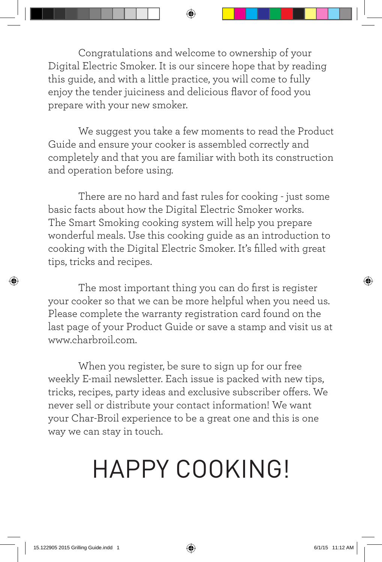Congratulations and welcome to ownership of your Digital Electric Smoker. It is our sincere hope that by reading this guide, and with a little practice, you will come to fully enjoy the tender juiciness and delicious flavor of food you prepare with your new smoker.

⊕

We suggest you take a few moments to read the Product Guide and ensure your cooker is assembled correctly and completely and that you are familiar with both its construction and operation before using.

There are no hard and fast rules for cooking - just some basic facts about how the Digital Electric Smoker works. The Smart Smoking cooking system will help you prepare wonderful meals. Use this cooking guide as an introduction to cooking with the Digital Electric Smoker. It's filled with great tips, tricks and recipes.

The most important thing you can do first is register your cooker so that we can be more helpful when you need us. Please complete the warranty registration card found on the last page of your Product Guide or save a stamp and visit us at www.charbroil.com.

When you register, be sure to sign up for our free weekly E-mail newsletter. Each issue is packed with new tips, tricks, recipes, party ideas and exclusive subscriber offers. We never sell or distribute your contact information! We want your Char-Broil experience to be a great one and this is one way we can stay in touch.

# HAPPY COOKING!

⊕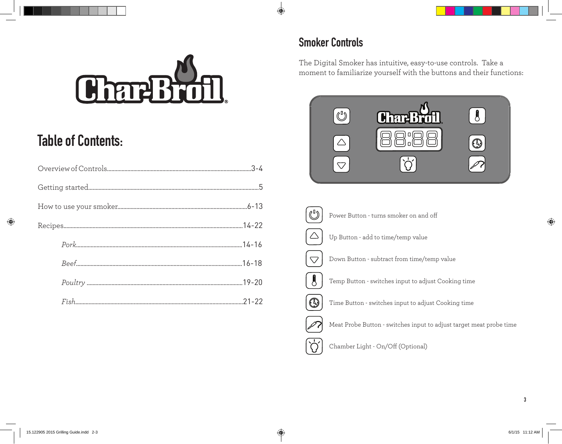

## **Table of Contents:**

⊕

## **Smoker Controls**

 $\bigcirc$ 

The Digital Smoker has intuitive, easy-to-use controls. Take a moment to familiarize yourself with the buttons and their functions:



**3**

 $\bigoplus$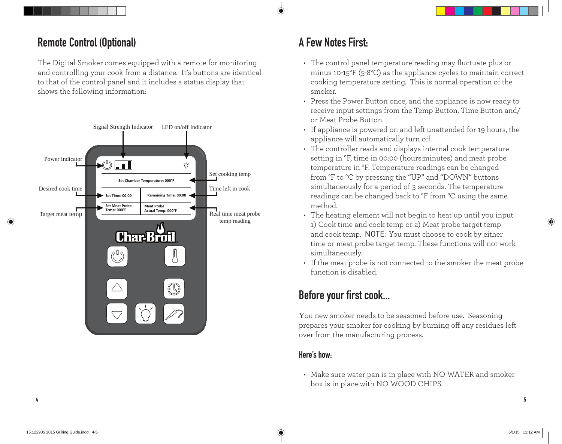### **Remote Control (Optional)**

The Digital Smoker comes equipped with a remote for monitoring and controlling your cook from a distance. It's buttons are identical to that of the control panel and it includes a status display that shows the following information:



## **A Few Notes First:**

- The control panel temperature reading may fluctuate plus or minus 10-15°F (5-8°C) as the appliance cycles to maintain correct cooking temperature setting. This is normal operation of the smoker.
- Press the Power Button once, and the appliance is now ready to receive input settings from the Temp Button, Time Button and/ or Meat Probe Button.
- If appliance is powered on and left unattended for 19 hours, the appliance will automatically turn off.
- The controller reads and displays internal cook temperature setting in °F, time in 00:00 (hours:minutes) and meat probe temperature in °F. Temperature readings can be changed from °F to °C by pressing the "UP" and "DOWN" buttons simultaneously for a period of 3 seconds. The temperature readings can be changed back to °F from °C using the same method.
- The heating element will not begin to heat up until you input 1) Cook time and cook temp or 2) Meat probe target temp and cook temp. NOTE: You must choose to cook by either time or meat probe target temp. These functions will not work simultaneously.
- If the meat probe is not connected to the smoker the meat probe function is disabled.

## **Before your first cook...**

You new smoker needs to be seasoned before use. Seasoning prepares your smoker for cooking by burning off any residues left over from the manufacturing process.

### **Here's how:**

• Make sure water pan is in place with NO WATER and smoker box is in place with NO WOOD CHIPS.

⊕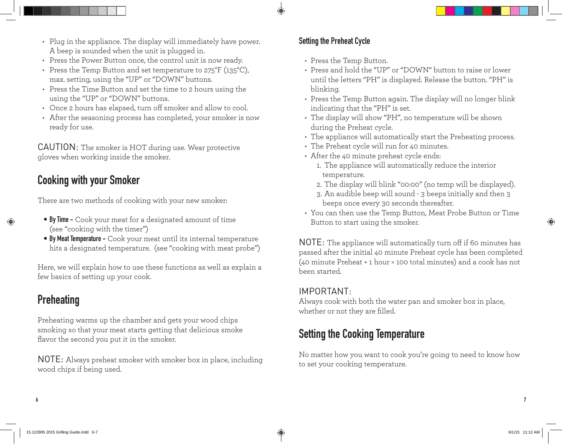- Plug in the appliance. The display will immediately have power. A beep is sounded when the unit is plugged in.
- Press the Power Button once, the control unit is now ready.
- Press the Temp Button and set temperature to 275°F (135°C), max. setting, using the "UP" or "DOWN" buttons.
- Press the Time Button and set the time to 2 hours using the using the "UP" or "DOWN" buttons.
- Once 2 hours has elapsed, turn off smoker and allow to cool.
- After the seasoning process has completed, your smoker is now ready for use.

CAUTION: The smoker is HOT during use. Wear protective gloves when working inside the smoker.

## **Cooking with your Smoker**

There are two methods of cooking with your new smoker:

- **• By Time -** Cook your meat for a designated amount of time (see "cooking with the timer")
- **• By Meat Temperature -** Cook your meat until its internal temperature hits a designated temperature. (see "cooking with meat probe")

Here, we will explain how to use these functions as well as explain a few basics of setting up your cook.

## **Preheating**

Preheating warms up the chamber and gets your wood chips smoking so that your meat starts getting that delicious smoke flavor the second you put it in the smoker.

NOTE: Always preheat smoker with smoker box in place, including wood chips if being used.

### **Setting the Preheat Cycle**

- Press the Temp Button.
- Press and hold the "UP" or "DOWN" button to raise or lower until the letters "PH" is displayed. Release the button. "PH" is blinking.
- Press the Temp Button again. The display will no longer blink indicating that the "PH" is set.
- The display will show "PH", no temperature will be shown during the Preheat cycle.
- The appliance will automatically start the Preheating process.
- The Preheat cycle will run for 40 minutes.
- After the 40 minute preheat cycle ends:
	- 1. The appliance will automatically reduce the interior temperature.
	- 2. The display will blink "00:00" (no temp will be displayed).
	- 3. An audible beep will sound 3 beeps initially and then 3 beeps once every 30 seconds thereafter.
- You can then use the Temp Button, Meat Probe Button or Time Button to start using the smoker.

NOTE: The appliance will automatically turn off if 60 minutes has passed after the initial 40 minute Preheat cycle has been completed (40 minute Preheat + 1 hour = 100 total minutes) and a cook has not been started.

### IMPORTANT:

Always cook with both the water pan and smoker box in place, whether or not they are filled.

## **Setting the Cooking Temperature**

No matter how you want to cook you're going to need to know how to set your cooking temperature.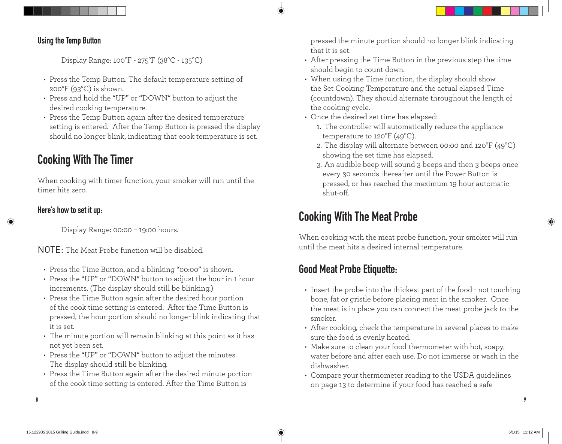

#### **Using the Temp Button**

Display Range: 100°F - 275°F (38°C - 135°C)

- Press the Temp Button. The default temperature setting of 200°F (93°C) is shown.
- Press and hold the "UP" or "DOWN" button to adjust the desired cooking temperature.
- Press the Temp Button again after the desired temperature setting is entered. After the Temp Button is pressed the display should no longer blink, indicating that cook temperature is set.

## **Cooking With The Timer**

When cooking with timer function, your smoker will run until the timer hits zero.

### **Here's how to set it up:**

Display Range: 00:00 – 19:00 hours.

NOTE: The Meat Probe function will be disabled.

- Press the Time Button, and a blinking "00:00" is shown.
- Press the "UP" or "DOWN" button to adjust the hour in 1 hour increments. (The display should still be blinking.)
- Press the Time Button again after the desired hour portion of the cook time setting is entered. After the Time Button is pressed, the hour portion should no longer blink indicating that it is set.
- The minute portion will remain blinking at this point as it has not yet been set.
- Press the "UP" or "DOWN" button to adjust the minutes. The display should still be blinking.
- Press the Time Button again after the desired minute portion of the cook time setting is entered. After the Time Button is

pressed the minute portion should no longer blink indicating that it is set.

- After pressing the Time Button in the previous step the time should begin to count down.
- When using the Time function, the display should show the Set Cooking Temperature and the actual elapsed Time (countdown). They should alternate throughout the length of the cooking cycle.
- Once the desired set time has elapsed:
	- 1. The controller will automatically reduce the appliance temperature to 120°F (49°C).
	- 2. The display will alternate between 00:00 and 120°F (49°C) showing the set time has elapsed.
	- 3. An audible beep will sound 3 beeps and then 3 beeps once every 30 seconds thereafter until the Power Button is pressed, or has reached the maximum 19 hour automatic shut-off.

## **Cooking With The Meat Probe**

When cooking with the meat probe function, your smoker will run until the meat hits a desired internal temperature.

## **Good Meat Probe Etiquette:**

- Insert the probe into the thickest part of the food not touching bone, fat or gristle before placing meat in the smoker. Once the meat is in place you can connect the meat probe jack to the smoker.
- After cooking, check the temperature in several places to make sure the food is evenly heated.
- Make sure to clean your food thermometer with hot, soapy, water before and after each use. Do not immerse or wash in the dishwasher.
- Compare your thermometer reading to the USDA guidelines on page 13 to determine if your food has reached a safe

**8 9**

⊕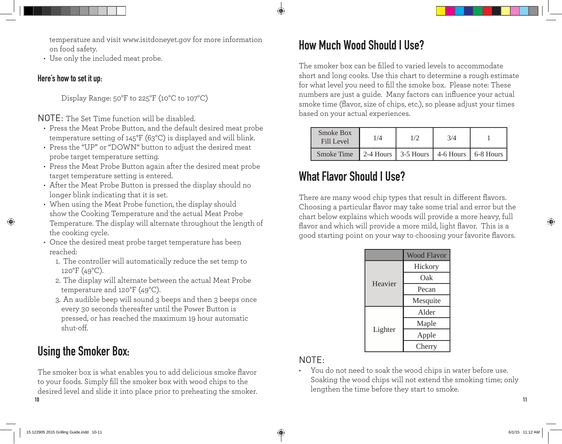temperature and visit www.isitdoneyet.gov for more information on food safety.

• Use only the included meat probe.

#### **Here's how to set it up:**

Display Range: 50°F to 225°F (10°C to 107°C)

NOTE: The Set Time function will be disabled.

- Press the Meat Probe Button, and the default desired meat probe temperature setting of 145°F (63°C) is displayed and will blink.
- Press the "UP" or "DOWN" button to adjust the desired meat probe target temperature setting.
- Press the Meat Probe Button again after the desired meat probe target temperature setting is entered.
- After the Meat Probe Button is pressed the display should no longer blink indicating that it is set.
- When using the Meat Probe function, the display should show the Cooking Temperature and the actual Meat Probe Temperature. The display will alternate throughout the length of the cooking cycle.
- Once the desired meat probe target temperature has been reached:
	- 1. The controller will automatically reduce the set temp to  $120^{\circ}F(49^{\circ}C)$ .
	- 2. The display will alternate between the actual Meat Probe temperature and 120°F (49°C).
	- 3. An audible beep will sound 3 beeps and then 3 beeps once every 30 seconds thereafter until the Power Button is pressed, or has reached the maximum 19 hour automatic shut-off.

## **Using the Smoker Box:**

**10 11** The smoker box is what enables you to add delicious smoke flavor to your foods. Simply fill the smoker box with wood chips to the desired level and slide it into place prior to preheating the smoker.

## **How Much Wood Should I Use?**

The smoker box can be filled to varied levels to accommodate short and long cooks. Use this chart to determine a rough estimate for what level you need to fill the smoke box. Please note: These numbers are just a guide. Many factors can influence your actual smoke time (flavor, size of chips, etc.), so please adjust your times based on your actual experiences.

| Smoke Box<br><b>Fill Level</b> | $\sqrt{4}$ |                                                                 | 3/4 |  |
|--------------------------------|------------|-----------------------------------------------------------------|-----|--|
| <b>Smoke Time</b>              |            | 2-4 Hours $\vert$ 3-5 Hours $\vert$ 4-6 Hours $\vert$ 6-8 Hours |     |  |

## **What Flavor Should I Use?**

There are many wood chip types that result in different flavors. Choosing a particular flavor may take some trial and error but the chart below explains which woods will provide a more heavy, full flavor and which will provide a more mild, light flavor. This is a good starting point on your way to choosing your favorite flavors.

|         | <b>Wood Flavor</b> |
|---------|--------------------|
|         | Hickory            |
|         | Oak                |
| Heavier | Pecan              |
|         | Mesquite           |
|         | Alder              |
|         | Maple              |
| Lighter | Apple              |
|         | Cherry             |

### NOTE:

• You do not need to soak the wood chips in water before use. Soaking the wood chips will not extend the smoking time; only lengthen the time before they start to smoke.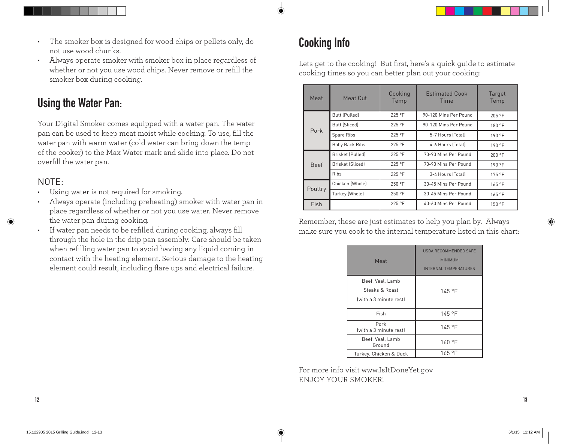

- The smoker box is designed for wood chips or pellets only, do not use wood chunks.
- Always operate smoker with smoker box in place regardless of whether or not you use wood chips. Never remove or refill the smoker box during cooking.

## **Using the Water Pan:**

Your Digital Smoker comes equipped with a water pan. The water pan can be used to keep meat moist while cooking. To use, fill the water pan with warm water (cold water can bring down the temp of the cooker) to the Max Water mark and slide into place. Do not overfill the water pan.

### NOTE:

- Using water is not required for smoking.
- Always operate (including preheating) smoker with water pan in place regardless of whether or not you use water. Never remove the water pan during cooking.
- If water pan needs to be refilled during cooking, always fill through the hole in the drip pan assembly. Care should be taken when refilling water pan to avoid having any liquid coming in contact with the heating element. Serious damage to the heating element could result, including flare ups and electrical failure.

## **Cooking Info**

Lets get to the cooking! But first, here's a quick guide to estimate cooking times so you can better plan out your cooking:

| Meat        | Meat Cut                | Cooking<br>Temp | <b>Estimated Cook</b><br>Time | Target<br>Temp |
|-------------|-------------------------|-----------------|-------------------------------|----------------|
|             | Butt (Pulled)           | $225$ °F        | 90-120 Mins Per Pound         | 205 °F         |
|             | <b>Butt (Sliced)</b>    | 225 °F          | 90-120 Mins Per Pound         | 180 °F         |
| Pork        | Spare Ribs              | $225$ °F        | 5-7 Hours (Total)             | 190 °F         |
|             | Baby Back Ribs          | $225$ °F        | 4-6 Hours (Total)             | 190 °F         |
| <b>Beef</b> | <b>Brisket (Pulled)</b> | $225$ °F        | 70-90 Mins Per Pound          | 200 °F         |
|             | Brisket (Sliced)        | $225$ °F        | 70-90 Mins Per Pound          | 190 °F         |
|             | <b>Ribs</b>             | 225 °F          | 3-4 Hours (Total)             | 175 °F         |
| Poultry     | Chicken (Whole)         | 250 °F          | 30-45 Mins Per Pound          | 165 °F         |
|             | Turkey (Whole)          | 250 °F          | 30-45 Mins Per Pound          | 165 °F         |
| Fish        |                         | 225 °F          | 40-60 Mins Per Pound          | 150 °F         |

Remember, these are just estimates to help you plan by. Always make sure you cook to the internal temperature listed in this chart:

| Meat                                                         | USDA RECOMMENDED SAFE<br><b>MINIMUM</b><br><b>INTERNAL TEMPERATURES</b> |
|--------------------------------------------------------------|-------------------------------------------------------------------------|
| Beef, Veal, Lamb<br>Steaks & Roast<br>(with a 3 minute rest) | $145°$ F                                                                |
| Fish                                                         | 145 °F                                                                  |
| Pork<br>(with a 3 minute rest)                               | 145 °F                                                                  |
| Beef, Veal, Lamb<br>Ground                                   | 160 °F                                                                  |
| Turkey, Chicken & Duck                                       | 165 °F                                                                  |

For more info visit www.IsItDoneYet.gov ENJOY YOUR SMOKER!

**12 13**

⊕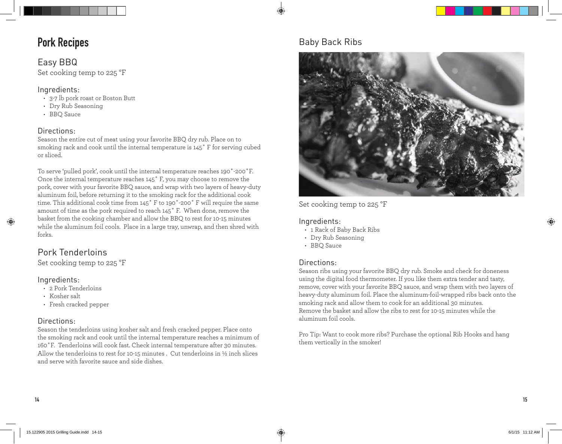### **Pork Recipes**

### Easy BBQ

Set cooking temp to 225 °F

#### Ingredients:

- 3-7 lb pork roast or Boston Butt
- Dry Rub Seasoning
- BBQ Sauce

#### Directions:

Season the entire cut of meat using your favorite BBQ dry rub. Place on to smoking rack and cook until the internal temperature is 145˚ F for serving cubed or sliced.

To serve 'pulled pork', cook until the internal temperature reaches 190˚-200˚F. Once the internal temperature reaches 145˚ F, you may choose to remove the pork, cover with your favorite BBQ sauce, and wrap with two layers of heavy-duty aluminum foil, before returning it to the smoking rack for the additional cook time. This additional cook time from 145˚ F to 190˚-200˚ F will require the same amount of time as the pork required to reach 145˚ F. When done, remove the basket from the cooking chamber and allow the BBQ to rest for 10-15 minutes while the aluminum foil cools. Place in a large tray, unwrap, and then shred with forks.

### Pork Tenderloins

Set cooking temp to 225 °F

#### Ingredients:

- 2 Pork Tenderloins
- Kosher salt
- Fresh cracked pepper

#### Directions:

Season the tenderloins using kosher salt and fresh cracked pepper. Place onto the smoking rack and cook until the internal temperature reaches a minimum of 160˚F. Tenderloins will cook fast. Check internal temperature after 30 minutes. Allow the tenderloins to rest for 10-15 minutes . Cut tenderloins in ½ inch slices and serve with favorite sauce and side dishes.

### Baby Back Ribs



Set cooking temp to 225 °F

#### Ingredients:

- 1 Rack of Baby Back Ribs
- Dry Rub Seasoning
- BBQ Sauce

#### Directions:

Season ribs using your favorite BBQ dry rub. Smoke and check for doneness using the digital food thermometer. If you like them extra tender and tasty, remove, cover with your favorite BBQ sauce, and wrap them with two layers of heavy-duty aluminum foil. Place the aluminum-foil-wrapped ribs back onto the smoking rack and allow them to cook for an additional 30 minutes. Remove the basket and allow the ribs to rest for 10-15 minutes while the aluminum foil cools.

Pro Tip: Want to cook more ribs? Purchase the optional Rib Hooks and hang them vertically in the smoker!

⊕

⊕

**14 15**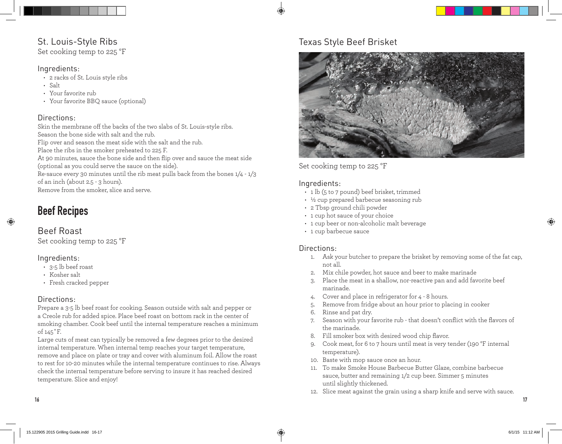### St. Louis-Style Ribs

Set cooking temp to 225 °F

#### Ingredients:

- 2 racks of St. Louis style ribs
- Salt
- Your favorite rub
- Your favorite BBQ sauce (optional)

#### Directions:

Skin the membrane off the backs of the two slabs of St. Louis-style ribs. Season the bone side with salt and the rub. Flip over and season the meat side with the salt and the rub. Place the ribs in the smoker preheated to 225 F. At 90 minutes, sauce the bone side and then flip over and sauce the meat side (optional as you could serve the sauce on the side). Re-sauce every 30 minutes until the rib meat pulls back from the bones 1/4 - 1/3 of an inch (about 2.5 - 3 hours). Remove from the smoker, slice and serve.

## **Beef Recipes**

### Beef Roast

⊕

Set cooking temp to 225 °F

#### Ingredients:

- 3-5 lb beef roast
- Kosher salt
- Fresh cracked pepper

#### Directions:

Prepare a 3-5 lb beef roast for cooking. Season outside with salt and pepper or a Creole rub for added spice. Place beef roast on bottom rack in the center of smoking chamber. Cook beef until the internal temperature reaches a minimum of 145˚F.

Large cuts of meat can typically be removed a few degrees prior to the desired internal temperature. When internal temp reaches your target temperature, remove and place on plate or tray and cover with aluminum foil. Allow the roast to rest for 10-20 minutes while the internal temperature continues to rise. Always check the internal temperature before serving to insure it has reached desired temperature. Slice and enjoy!

### Texas Style Beef Brisket



Set cooking temp to 225 °F

#### Ingredients:

- 1 lb (5 to 7 pound) beef brisket, trimmed
- ½ cup prepared barbecue seasoning rub
- 2 Tbsp ground chili powder
- 1 cup hot sauce of your choice
- 1 cup beer or non-alcoholic malt beverage
- 1 cup barbecue sauce

#### Directions:

- 1. Ask your butcher to prepare the brisket by removing some of the fat cap, not all.
- 2. Mix chile powder, hot sauce and beer to make marinade
- 3. Place the meat in a shallow, nor-reactive pan and add favorite beef marinade.
- 4. Cover and place in refrigerator for 4 8 hours.
- 5. Remove from fridge about an hour prior to placing in cooker
- 6. Rinse and pat dry.
- 7. Season with your favorite rub that doesn't conflict with the flavors of the marinade.
- 8. Fill smoker box with desired wood chip flavor.
- 9. Cook meat, for 6 to 7 hours until meat is very tender (190 °F internal temperature).
- 10. Baste with mop sauce once an hour.
- 11. To make Smoke House Barbecue Butter Glaze, combine barbecue sauce, butter and remaining 1/2 cup beer. Simmer 5 minutes until slightly thickened.
- 12. Slice meat against the grain using a sharp knife and serve with sauce.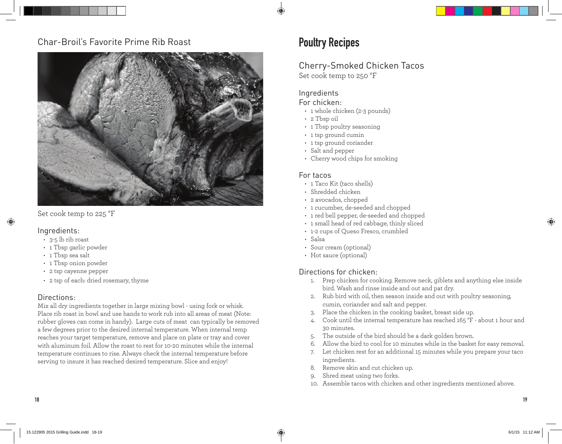### Char-Broil's Favorite Prime Rib Roast



Set cook temp to 225 °F

#### Ingredients:

⊕

- 3-5 lb rib roast
- 1 Tbsp garlic powder
- 1 Tbsp sea salt
- 1 Tbsp onion powder
- 2 tsp cayenne pepper
- 2 tsp of each: dried rosemary, thyme

#### Directions:

Mix all dry ingredients together in large mixing bowl - using fork or whisk. Place rib roast in bowl and use hands to work rub into all areas of meat (Note: rubber gloves can come in handy). Large cuts of meat can typically be removed a few degrees prior to the desired internal temperature. When internal temp reaches your target temperature, remove and place on plate or tray and cover with aluminum foil. Allow the roast to rest for 10-20 minutes while the internal temperature continues to rise. Always check the internal temperature before serving to insure it has reached desired temperature. Slice and enjoy!

### **Poultry Recipes**

#### Cherry-Smoked Chicken Tacos Set cook temp to 250 °F

#### Ingredients

#### For chicken:

- 1 whole chicken (2-3 pounds)
- 2 Tbsp oil
- 1 Tbsp poultry seasoning
- 1 tsp ground cumin
- 1 tsp ground coriander
- Salt and pepper
- Cherry wood chips for smoking

#### For tacos

- 1 Taco Kit (taco shells)
- Shredded chicken
- 2 avocados, chopped
- 1 cucumber, de-seeded and chopped
- 1 red bell pepper, de-seeded and chopped
- 1 small head of red cabbage, thinly sliced
- 1-2 cups of Queso Fresco, crumbled
- Salsa
- Sour cream (optional)
- Hot sauce (optional)

#### Directions for chicken:

- 1. Prep chicken for cooking. Remove neck, giblets and anything else inside bird. Wash and rinse inside and out and pat dry.
- 2. Rub bird with oil, then season inside and out with poultry seasoning, cumin, coriander and salt and pepper.
- 3. Place the chicken in the cooking basket, breast side up.
- 4. Cook until the internal temperature has reached 165 °F about 1 hour and 30 minutes.
- 5. The outside of the bird should be a dark golden brown.
- 6. Allow the bird to cool for 10 minutes while in the basket for easy removal.
- 7. Let chicken rest for an additional 15 minutes while you prepare your taco ingredients.
- 8. Remove skin and cut chicken up.
- 9. Shred meat using two forks.
- 10. Assemble tacos with chicken and other ingredients mentioned above.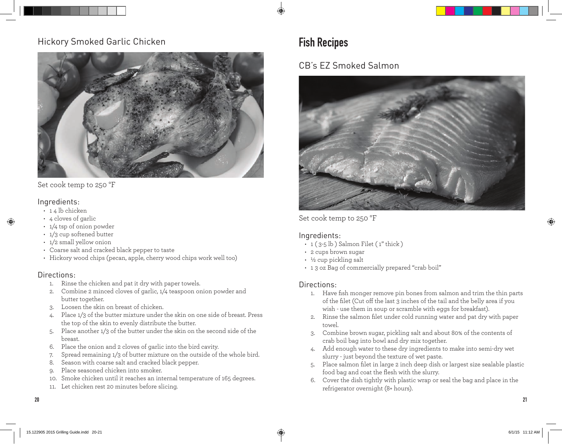### Hickory Smoked Garlic Chicken



Set cook temp to 250 °F

#### Ingredients:

- $\cdot$  14 lb chicken
- 4 cloves of garlic
- 1/4 tsp of onion powder
- 1/3 cup softened butter
- 1/2 small yellow onion
- Coarse salt and cracked black pepper to taste
- Hickory wood chips (pecan, apple, cherry wood chips work well too)

#### Directions:

- 1. Rinse the chicken and pat it dry with paper towels.
- 2. Combine 2 minced cloves of garlic, 1/4 teaspoon onion powder and butter together.
- 3. Loosen the skin on breast of chicken.
- 4. Place 1/3 of the butter mixture under the skin on one side of breast. Press the top of the skin to evenly distribute the butter.
- 5. Place another 1/3 of the butter under the skin on the second side of the breast.
- 6. Place the onion and 2 cloves of garlic into the bird cavity.
- 7. Spread remaining 1/3 of butter mixture on the outside of the whole bird.
- 8. Season with coarse salt and cracked black pepper.
- 9. Place seasoned chicken into smoker.
- 10. Smoke chicken until it reaches an internal temperature of 165 degrees.
- 11. Let chicken rest 20 minutes before slicing.

## **Fish Recipes**

### CB's EZ Smoked Salmon

![](_page_10_Picture_25.jpeg)

Set cook temp to 250 °F

#### Ingredients:

- $\cdot$  1 (3-5 lb) Salmon Filet (1" thick)
- 2 cups brown sugar
- ½ cup pickling salt
- 1 3 oz Bag of commercially prepared "crab boil"

#### Directions:

- 1. Have fish monger remove pin bones from salmon and trim the thin parts of the filet (Cut off the last 3 inches of the tail and the belly area if you wish - use them in soup or scramble with eggs for breakfast).
- 2. Rinse the salmon filet under cold running water and pat dry with paper towel.
- 3. Combine brown sugar, pickling salt and about 80% of the contents of crab boil bag into bowl and dry mix together.
- 4. Add enough water to these dry ingredients to make into semi-dry wet slurry - just beyond the texture of wet paste.
- 5. Place salmon filet in large 2 inch deep dish or largest size sealable plastic food bag and coat the flesh with the slurry.
- 6. Cover the dish tightly with plastic wrap or seal the bag and place in the refrigerator overnight (8+ hours).

**20 21**